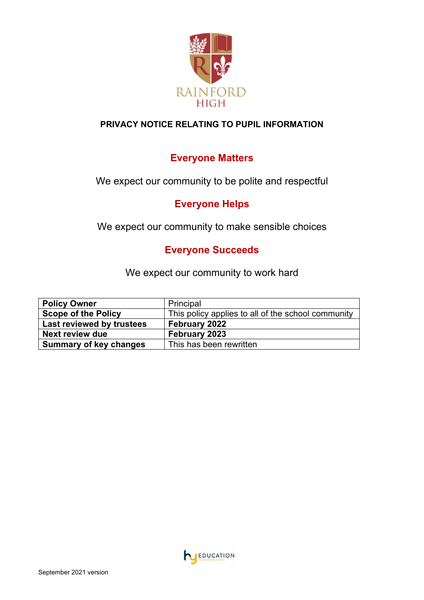

## **PRIVACY NOTICE RELATING TO PUPIL INFORMATION**

# **Everyone Matters**

We expect our community to be polite and respectful

## **Everyone Helps**

We expect our community to make sensible choices

## **Everyone Succeeds**

We expect our community to work hard

| <b>Policy Owner</b>           | Principal                                          |
|-------------------------------|----------------------------------------------------|
| <b>Scope of the Policy</b>    | This policy applies to all of the school community |
| Last reviewed by trustees     | February 2022                                      |
| <b>Next review due</b>        | February 2023                                      |
| <b>Summary of key changes</b> | This has been rewritten                            |

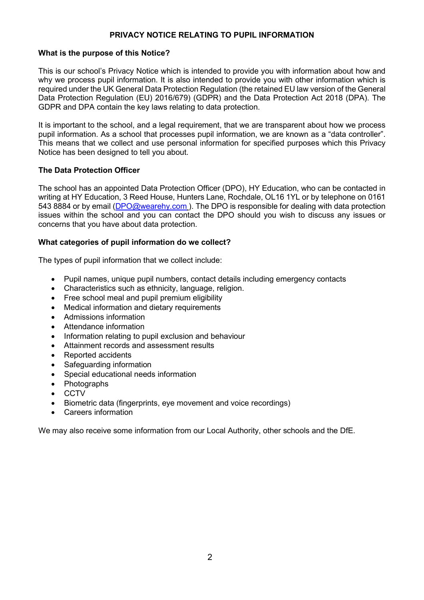#### **PRIVACY NOTICE RELATING TO PUPIL INFORMATION**

#### **What is the purpose of this Notice?**

This is our school's Privacy Notice which is intended to provide you with information about how and why we process pupil information. It is also intended to provide you with other information which is required under the UK General Data Protection Regulation (the retained EU law version of the General Data Protection Regulation (EU) 2016/679) (GDPR) and the Data Protection Act 2018 (DPA). The GDPR and DPA contain the key laws relating to data protection.

It is important to the school, and a legal requirement, that we are transparent about how we process pupil information. As a school that processes pupil information, we are known as a "data controller". This means that we collect and use personal information for specified purposes which this Privacy Notice has been designed to tell you about.

#### **The Data Protection Officer**

The school has an appointed Data Protection Officer (DPO), HY Education, who can be contacted in writing at HY Education, 3 Reed House, Hunters Lane, Rochdale, OL16 1YL or by telephone on 0161 543 8884 or by email [\(DPO@wearehy.com](mailto:DPO@wearehy.com)). The DPO is responsible for dealing with data protection issues within the school and you can contact the DPO should you wish to discuss any issues or concerns that you have about data protection.

#### **What categories of pupil information do we collect?**

The types of pupil information that we collect include:

- Pupil names, unique pupil numbers, contact details including emergency contacts
- Characteristics such as ethnicity, language, religion.
- Free school meal and pupil premium eligibility
- Medical information and dietary requirements
- Admissions information
- Attendance information
- Information relating to pupil exclusion and behaviour
- Attainment records and assessment results
- Reported accidents
- Safeguarding information
- Special educational needs information
- Photographs
- CCTV
- Biometric data (fingerprints, eye movement and voice recordings)
- Careers information

We may also receive some information from our Local Authority, other schools and the DfE.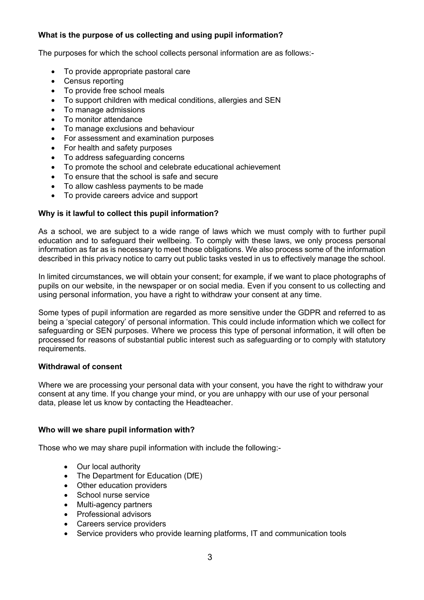## **What is the purpose of us collecting and using pupil information?**

The purposes for which the school collects personal information are as follows:-

- To provide appropriate pastoral care
- Census reporting
- To provide free school meals
- To support children with medical conditions, allergies and SEN
- To manage admissions
- To monitor attendance
- To manage exclusions and behaviour
- For assessment and examination purposes
- For health and safety purposes
- To address safeguarding concerns
- To promote the school and celebrate educational achievement
- To ensure that the school is safe and secure
- To allow cashless payments to be made
- To provide careers advice and support

#### **Why is it lawful to collect this pupil information?**

As a school, we are subject to a wide range of laws which we must comply with to further pupil education and to safeguard their wellbeing. To comply with these laws, we only process personal information as far as is necessary to meet those obligations. We also process some of the information described in this privacy notice to carry out public tasks vested in us to effectively manage the school.

In limited circumstances, we will obtain your consent; for example, if we want to place photographs of pupils on our website, in the newspaper or on social media. Even if you consent to us collecting and using personal information, you have a right to withdraw your consent at any time.

Some types of pupil information are regarded as more sensitive under the GDPR and referred to as being a 'special category' of personal information. This could include information which we collect for safeguarding or SEN purposes. Where we process this type of personal information, it will often be processed for reasons of substantial public interest such as safeguarding or to comply with statutory requirements.

#### **Withdrawal of consent**

Where we are processing your personal data with your consent, you have the right to withdraw your consent at any time. If you change your mind, or you are unhappy with our use of your personal data, please let us know by contacting the Headteacher.

#### **Who will we share pupil information with?**

Those who we may share pupil information with include the following:-

- Our local authority
- The Department for Education (DfE)
- Other education providers
- School nurse service
- Multi-agency partners
- Professional advisors
- Careers service providers
- Service providers who provide learning platforms, IT and communication tools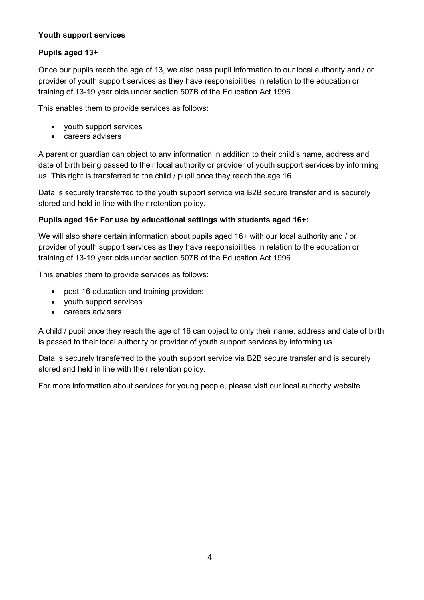## **Youth support services**

## **Pupils aged 13+**

Once our pupils reach the age of 13, we also pass pupil information to our local authority and / or provider of youth support services as they have responsibilities in relation to the education or training of 13-19 year olds under section 507B of the Education Act 1996.

This enables them to provide services as follows:

- youth support services
- careers advisers

A parent or guardian can object to any information in addition to their child's name, address and date of birth being passed to their local authority or provider of youth support services by informing us. This right is transferred to the child / pupil once they reach the age 16.

Data is securely transferred to the youth support service via B2B secure transfer and is securely stored and held in line with their retention policy.

#### **Pupils aged 16+ For use by educational settings with students aged 16+:**

We will also share certain information about pupils aged 16+ with our local authority and / or provider of youth support services as they have responsibilities in relation to the education or training of 13-19 year olds under section 507B of the Education Act 1996.

This enables them to provide services as follows:

- post-16 education and training providers
- youth support services
- careers advisers

A child / pupil once they reach the age of 16 can object to only their name, address and date of birth is passed to their local authority or provider of youth support services by informing us.

Data is securely transferred to the youth support service via B2B secure transfer and is securely stored and held in line with their retention policy.

For more information about services for young people, please visit our local authority website.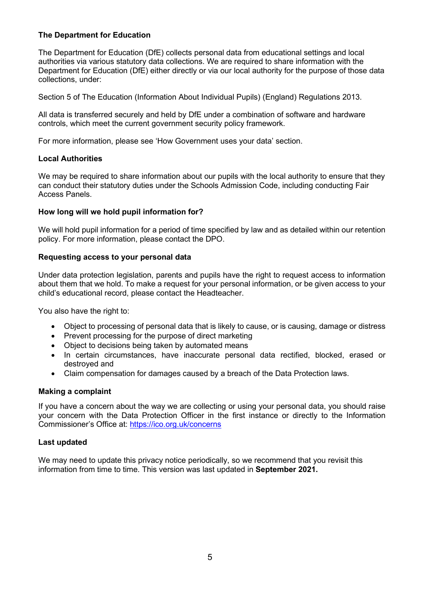#### **The Department for Education**

The Department for Education (DfE) collects personal data from educational settings and local authorities via various statutory data collections. We are required to share information with the Department for Education (DfE) either directly or via our local authority for the purpose of those data collections, under:

Section 5 of The Education (Information About Individual Pupils) (England) Regulations 2013.

All data is transferred securely and held by DfE under a combination of software and hardware controls, which meet the current government security policy framework.

For more information, please see 'How Government uses your data' section.

#### **Local Authorities**

We may be required to share information about our pupils with the local authority to ensure that they can conduct their statutory duties under the Schools Admission Code, including conducting Fair Access Panels.

#### **How long will we hold pupil information for?**

We will hold pupil information for a period of time specified by law and as detailed within our retention policy. For more information, please contact the DPO.

#### **Requesting access to your personal data**

Under data protection legislation, parents and pupils have the right to request access to information about them that we hold. To make a request for your personal information, or be given access to your child's educational record, please contact the Headteacher.

You also have the right to:

- Object to processing of personal data that is likely to cause, or is causing, damage or distress
- Prevent processing for the purpose of direct marketing
- Object to decisions being taken by automated means
- In certain circumstances, have inaccurate personal data rectified, blocked, erased or destroyed and
- Claim compensation for damages caused by a breach of the Data Protection laws.

#### **Making a complaint**

If you have a concern about the way we are collecting or using your personal data, you should raise your concern with the Data Protection Officer in the first instance or directly to the Information Commissioner's Office at: <https://ico.org.uk/concerns>

#### **Last updated**

We may need to update this privacy notice periodically, so we recommend that you revisit this information from time to time. This version was last updated in **September 2021.**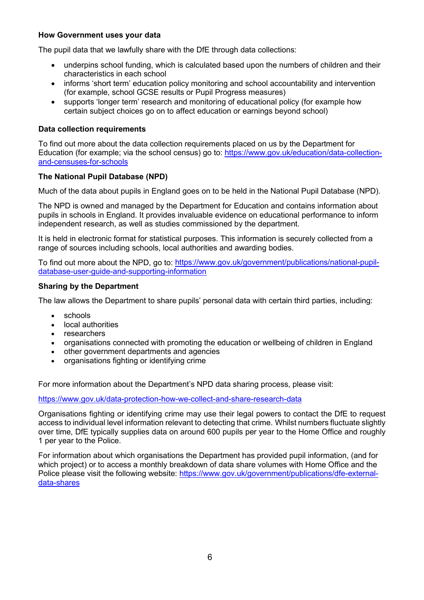#### **How Government uses your data**

The pupil data that we lawfully share with the DfE through data collections:

- underpins school funding, which is calculated based upon the numbers of children and their characteristics in each school
- informs 'short term' education policy monitoring and school accountability and intervention (for example, school GCSE results or Pupil Progress measures)
- supports 'longer term' research and monitoring of educational policy (for example how certain subject choices go on to affect education or earnings beyond school)

#### **Data collection requirements**

To find out more about the data collection requirements placed on us by the Department for Education (for example; via the school census) go to: [https://www.gov.uk/education/data-collection](https://www.gov.uk/education/data-collection-and-censuses-for-schools)[and-censuses-for-schools](https://www.gov.uk/education/data-collection-and-censuses-for-schools)

#### **The National Pupil Database (NPD)**

Much of the data about pupils in England goes on to be held in the National Pupil Database (NPD).

The NPD is owned and managed by the Department for Education and contains information about pupils in schools in England. It provides invaluable evidence on educational performance to inform independent research, as well as studies commissioned by the department.

It is held in electronic format for statistical purposes. This information is securely collected from a range of sources including schools, local authorities and awarding bodies.

To find out more about the NPD, go to: [https://www.gov.uk/government/publications/national-pupil](https://www.gov.uk/government/publications/national-pupil-database-user-guide-and-supporting-information)[database-user-guide-and-supporting-information](https://www.gov.uk/government/publications/national-pupil-database-user-guide-and-supporting-information)

#### **Sharing by the Department**

The law allows the Department to share pupils' personal data with certain third parties, including:

- schools
- local authorities
- researchers
- organisations connected with promoting the education or wellbeing of children in England
- other government departments and agencies
- organisations fighting or identifying crime

For more information about the Department's NPD data sharing process, please visit:

<https://www.gov.uk/data-protection-how-we-collect-and-share-research-data>

Organisations fighting or identifying crime may use their legal powers to contact the DfE to request access to individual level information relevant to detecting that crime. Whilst numbers fluctuate slightly over time, DfE typically supplies data on around 600 pupils per year to the Home Office and roughly 1 per year to the Police.

For information about which organisations the Department has provided pupil information, (and for which project) or to access a monthly breakdown of data share volumes with Home Office and the Police please visit the following website: [https://www.gov.uk/government/publications/dfe-external](https://www.gov.uk/government/publications/dfe-external-data-shares)[data-shares](https://www.gov.uk/government/publications/dfe-external-data-shares)